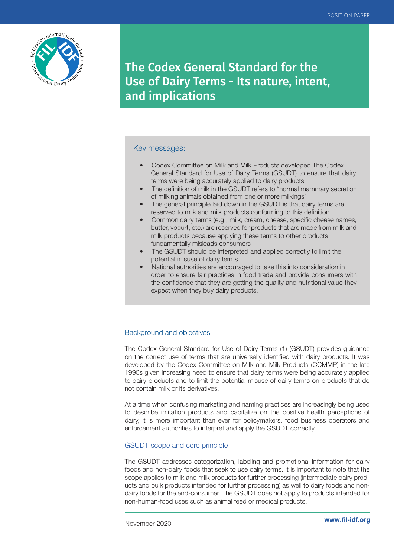

The Codex General Standard for the Use of Dairy Terms - Its nature, intent, and implications

# Key messages:

- Codex Committee on Milk and Milk Products developed The Codex General Standard for Use of Dairy Terms (GSUDT) to ensure that dairy terms were being accurately applied to dairy products
- The definition of milk in the GSUDT refers to "normal mammary secretion of milking animals obtained from one or more milkings"
- The general principle laid down in the GSUDT is that dairy terms are reserved to milk and milk products conforming to this definition
- Common dairy terms (e.g., milk, cream, cheese, specific cheese names, butter, yogurt, etc.) are reserved for products that are made from milk and milk products because applying these terms to other products fundamentally misleads consumers
- The GSUDT should be interpreted and applied correctly to limit the potential misuse of dairy terms
- National authorities are encouraged to take this into consideration in order to ensure fair practices in food trade and provide consumers with the confidence that they are getting the quality and nutritional value they expect when they buy dairy products.

# Background and objectives

The Codex General Standard for Use of Dairy Terms (1) (GSUDT) provides guidance on the correct use of terms that are universally identified with dairy products. It was developed by the Codex Committee on Milk and Milk Products (CCMMP) in the late 1990s given increasing need to ensure that dairy terms were being accurately applied to dairy products and to limit the potential misuse of dairy terms on products that do not contain milk or its derivatives.

At a time when confusing marketing and naming practices are increasingly being used to describe imitation products and capitalize on the positive health perceptions of dairy, it is more important than ever for policymakers, food business operators and enforcement authorities to interpret and apply the GSUDT correctly.

# GSUDT scope and core principle

The GSUDT addresses categorization, labeling and promotional information for dairy foods and non-dairy foods that seek to use dairy terms. It is important to note that the scope applies to milk and milk products for further processing (intermediate dairy products and bulk products intended for further processing) as well to dairy foods and nondairy foods for the end-consumer. The GSUDT does not apply to products intended for non-human-food uses such as animal feed or medical products.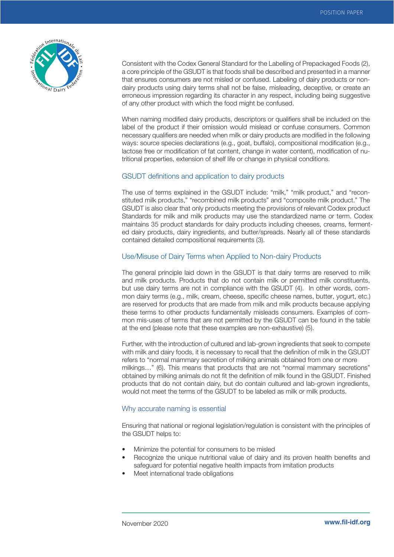

Consistent with the Codex General Standard for the Labelling of Prepackaged Foods (2), a core principle of the GSUDT is that foods shall be described and presented in a manner that ensures consumers are not misled or confused. Labeling of dairy products or nondairy products using dairy terms shall not be false, misleading, deceptive, or create an erroneous impression regarding its character in any respect, including being suggestive of any other product with which the food might be confused.

When naming modified dairy products, descriptors or qualifiers shall be included on the label of the product if their omission would mislead or confuse consumers. Common necessary qualifiers are needed when milk or dairy products are modified in the following ways: source species declarations (e.g., goat, buffalo), compositional modification (e.g., lactose free or modification of fat content, change in water content), modification of nutritional properties, extension of shelf life or change in physical conditions.

# GSUDT definitions and application to dairy products

The use of terms explained in the GSUDT include: "milk," "milk product," and "reconstituted milk products," "recombined milk products" and "composite milk product." The GSUDT is also clear that only products meeting the provisions of relevant Codex product Standards for milk and milk products may use the standardized name or term. Codex maintains 35 product standards for dairy products including cheeses, creams, fermented dairy products, dairy ingredients, and butter/spreads. Nearly all of these standards contained detailed compositional requirements (3).

# Use/Misuse of Dairy Terms when Applied to Non-dairy Products

The general principle laid down in the GSUDT is that dairy terms are reserved to milk and milk products. Products that do not contain milk or permitted milk constituents, but use dairy terms are not in compliance with the GSUDT (4). In other words, common dairy terms (e.g., milk, cream, cheese, specific cheese names, butter, yogurt, etc.) are reserved for products that are made from milk and milk products because applying these terms to other products fundamentally misleads consumers. Examples of common mis-uses of terms that are not permitted by the GSUDT can be found in the table at the end (please note that these examples are non-exhaustive) (5).

Further, with the introduction of cultured and lab-grown ingredients that seek to compete with milk and dairy foods, it is necessary to recall that the definition of milk in the GSUDT refers to "normal mammary secretion of milking animals obtained from one or more milkings…" (6). This means that products that are not "normal mammary secretions" obtained by milking animals do not fit the definition of milk found in the GSUDT. Finished products that do not contain dairy, but do contain cultured and lab-grown ingredients, would not meet the terms of the GSUDT to be labeled as milk or milk products.

### Why accurate naming is essential

Ensuring that national or regional legislation/regulation is consistent with the principles of the GSUDT helps to:

- Minimize the potential for consumers to be misled
- Recognize the unique nutritional value of dairy and its proven health benefits and safeguard for potential negative health impacts from imitation products
- Meet international trade obligations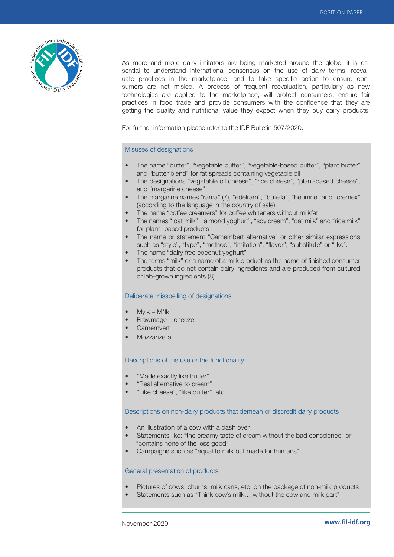

As more and more dairy imitators are being marketed around the globe, it is essential to understand international consensus on the use of dairy terms, reevaluate practices in the marketplace, and to take specific action to ensure consumers are not misled. A process of frequent reevaluation, particularly as new technologies are applied to the marketplace, will protect consumers, ensure fair practices in food trade and provide consumers with the confidence that they are getting the quality and nutritional value they expect when they buy dairy products.

For further information please refer to the IDF Bulletin 507/2020.

## Misuses of designations

- The name "butter", "vegetable butter", "vegetable-based butter", "plant butter" and "butter blend" for fat spreads containing vegetable oil
- The designations "vegetable oil cheese", "rice cheese", "plant-based cheese", and "margarine cheese"
- The margarine names "rama" (7), "edelram", "butella", "beurrine" and "cremex" (according to the language in the country of sale)
- The name "coffee creamers" for coffee whiteners without milkfat
- The names " oat milk", "almond yoghurt", "soy cream", "oat milk" and "rice milk" for plant -based products
- The name or statement "Camembert alternative" or other similar expressions such as "style", "type", "method", "imitation", "flavor", "substitute" or "like".
- The name "dairy free coconut yoghurt"
- The terms "milk" or a name of a milk product as the name of finished consumer products that do not contain dairy ingredients and are produced from cultured or lab-grown ingredients (8)

### Deliberate misspelling of designations

- Mylk M\*lk
- Frawmage cheeze
- **Camemvert**
- **Mozzarizella**

#### Descriptions of the use or the functionality

- "Made exactly like butter"
- "Real alternative to cream"
- "Like cheese", "like butter", etc.

#### Descriptions on non-dairy products that demean or discredit dairy products

- An illustration of a cow with a dash over
- Statements like: "the creamy taste of cream without the bad conscience" or "contains none of the less good"
- Campaigns such as "equal to milk but made for humans"

#### General presentation of products

- Pictures of cows, churns, milk cans, etc. on the package of non-milk products
- Statements such as "Think cow's milk… without the cow and milk part"